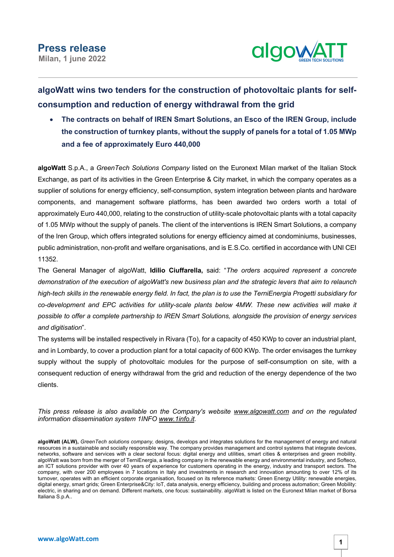

## **algoWatt wins two tenders for the construction of photovoltaic plants for selfconsumption and reduction of energy withdrawal from the grid**

• **The contracts on behalf of IREN Smart Solutions, an Esco of the IREN Group, include the construction of turnkey plants, without the supply of panels for a total of 1.05 MWp and a fee of approximately Euro 440,000**

**algoWatt** S.p.A., a *GreenTech Solutions Company* listed on the Euronext Milan market of the Italian Stock Exchange, as part of its activities in the Green Enterprise & City market, in which the company operates as a supplier of solutions for energy efficiency, self-consumption, system integration between plants and hardware components, and management software platforms, has been awarded two orders worth a total of approximately Euro 440,000, relating to the construction of utility-scale photovoltaic plants with a total capacity of 1.05 MWp without the supply of panels. The client of the interventions is IREN Smart Solutions, a company of the Iren Group, which offers integrated solutions for energy efficiency aimed at condominiums, businesses, public administration, non-profit and welfare organisations, and is E.S.Co. certified in accordance with UNI CEI 11352.

The General Manager of algoWatt, **Idilio Ciuffarella,** said: "*The orders acquired represent a concrete* demonstration of the execution of algoWatt's new business plan and the strategic levers that aim to relaunch high-tech skills in the renewable energy field. In fact, the plan is to use the TerniEnergia Progetti subsidiary for *co-development and EPC activities for utility-scale plants below 4MW. These new activities will make it possible to offer a complete partnership to IREN Smart Solutions, alongside the provision of energy services and digitisation*".

The systems will be installed respectively in Rivara (To), for a capacity of 450 KWp to cover an industrial plant, and in Lombardy, to cover a production plant for a total capacity of 600 KWp. The order envisages the turnkey supply without the supply of photovoltaic modules for the purpose of self-consumption on site, with a consequent reduction of energy withdrawal from the grid and reduction of the energy dependence of the two clients.

*This press release is also available on the Company's website www.algowatt.com and on the regulated information dissemination system 1INFO www.1info.it.*

**algoWatt (ALW),** *GreenTech solutions company,* designs, develops and integrates solutions for the management of energy and natural resources in a sustainable and socially responsible way. The company provides management and control systems that integrate devices, networks, software and services with a clear sectoral focus: digital energy and utilities, smart cities & enterprises and green mobility. algoWatt was born from the merger of TerniEnergia, a leading company in the renewable energy and environmental industry, and Softeco, an ICT solutions provider with over 40 years of experience for customers operating in the energy, industry and transport sectors. The company, with over 200 employees in 7 locations in Italy and investments in research and innovation amounting to over 12% of its turnover, operates with an efficient corporate organisation, focused on its reference markets: Green Energy Utility: renewable energies, digital energy, smart grids; Green Enterprise&City: IoT, data analysis, energy efficiency, building and process automation; Green Mobility: electric, in sharing and on demand. Different markets, one focus: sustainability. algoWatt is listed on the Euronext Milan market of Borsa Italiana S.p.A..